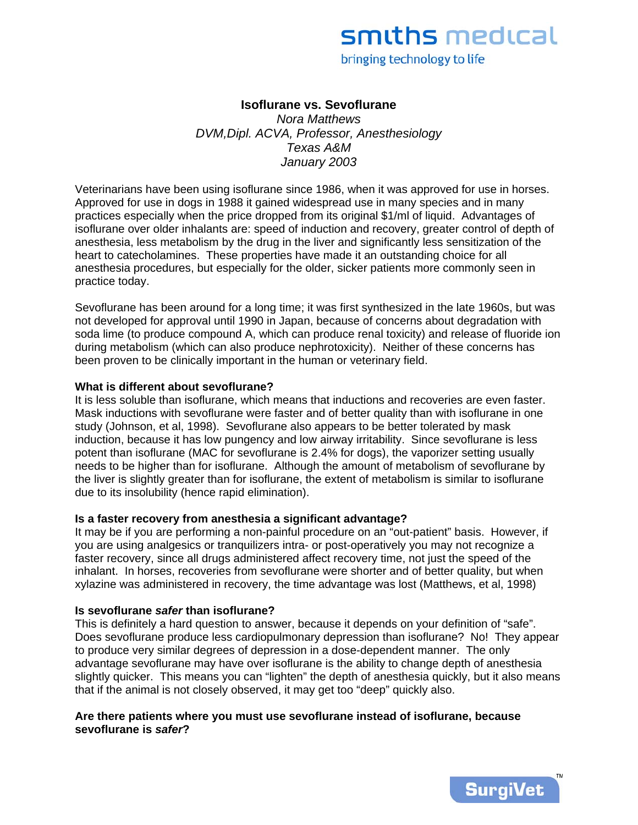# smiths medical

bringing technology to life

## **Isoflurane vs. Sevoflurane**

*Nora Matthews DVM,Dipl. ACVA, Professor, Anesthesiology Texas A&M January 2003*

Veterinarians have been using isoflurane since 1986, when it was approved for use in horses. Approved for use in dogs in 1988 it gained widespread use in many species and in many practices especially when the price dropped from its original \$1/ml of liquid. Advantages of isoflurane over older inhalants are: speed of induction and recovery, greater control of depth of anesthesia, less metabolism by the drug in the liver and significantly less sensitization of the heart to catecholamines. These properties have made it an outstanding choice for all anesthesia procedures, but especially for the older, sicker patients more commonly seen in practice today.

Sevoflurane has been around for a long time; it was first synthesized in the late 1960s, but was not developed for approval until 1990 in Japan, because of concerns about degradation with soda lime (to produce compound A, which can produce renal toxicity) and release of fluoride ion during metabolism (which can also produce nephrotoxicity). Neither of these concerns has been proven to be clinically important in the human or veterinary field.

#### **What is different about sevoflurane?**

It is less soluble than isoflurane, which means that inductions and recoveries are even faster. Mask inductions with sevoflurane were faster and of better quality than with isoflurane in one study (Johnson, et al, 1998). Sevoflurane also appears to be better tolerated by mask induction, because it has low pungency and low airway irritability. Since sevoflurane is less potent than isoflurane (MAC for sevoflurane is 2.4% for dogs), the vaporizer setting usually needs to be higher than for isoflurane. Although the amount of metabolism of sevoflurane by the liver is slightly greater than for isoflurane, the extent of metabolism is similar to isoflurane due to its insolubility (hence rapid elimination).

#### **Is a faster recovery from anesthesia a significant advantage?**

It may be if you are performing a non-painful procedure on an "out-patient" basis. However, if you are using analgesics or tranquilizers intra- or post-operatively you may not recognize a faster recovery, since all drugs administered affect recovery time, not just the speed of the inhalant. In horses, recoveries from sevoflurane were shorter and of better quality, but when xylazine was administered in recovery, the time advantage was lost (Matthews, et al, 1998)

#### **Is sevoflurane** *safer* **than isoflurane?**

This is definitely a hard question to answer, because it depends on your definition of "safe". Does sevoflurane produce less cardiopulmonary depression than isoflurane? No! They appear to produce very similar degrees of depression in a dose-dependent manner. The only advantage sevoflurane may have over isoflurane is the ability to change depth of anesthesia slightly quicker. This means you can "lighten" the depth of anesthesia quickly, but it also means that if the animal is not closely observed, it may get too "deep" quickly also.

## **Are there patients where you must use sevoflurane instead of isoflurane, because sevoflurane is** *safer***?**